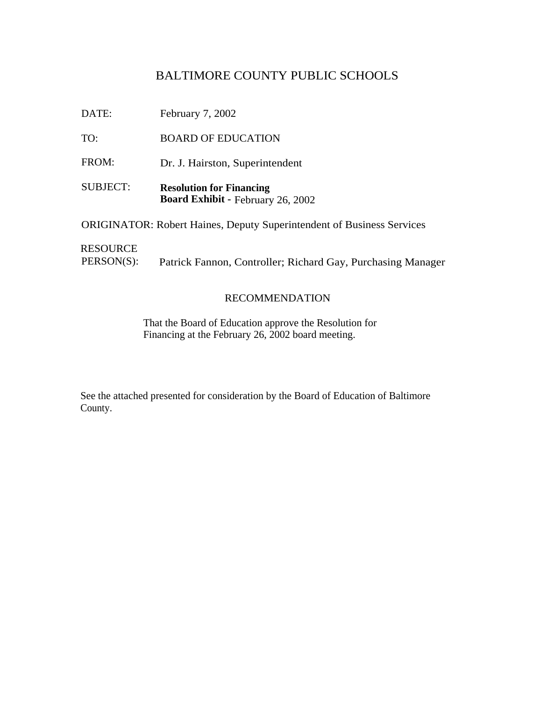## BALTIMORE COUNTY PUBLIC SCHOOLS

DATE: February 7, 2002

TO: BOARD OF EDUCATION

FROM: Dr. J. Hairston, Superintendent

SUBJECT: **Resolution for Financing Board Exhibit -** February 26, 2002

ORIGINATOR: Robert Haines, Deputy Superintendent of Business Services

RESOURCE

PERSON(S): Patrick Fannon, Controller; Richard Gay, Purchasing Manager

### RECOMMENDATION

That the Board of Education approve the Resolution for Financing at the February 26, 2002 board meeting.

See the attached presented for consideration by the Board of Education of Baltimore County.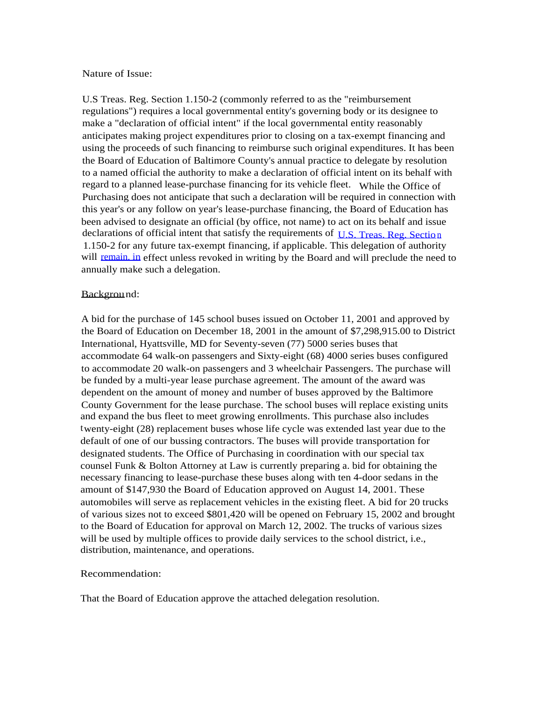#### Nature of Issue:

U.S Treas. Reg. Section 1.150-2 (commonly referred to as the "reimbursement regulations") requires a local governmental entity's governing body or its designee to make a "declaration of official intent" if the local governmental entity reasonably anticipates making project expenditures prior to closing on a tax-exempt financing and using the proceeds of such financing to reimburse such original expenditures. It has been the Board of Education of Baltimore County's annual practice to delegate by resolution to a named official the authority to make a declaration of official intent on its behalf with regard to a planned lease-purchase financing for its vehicle fleet. While the Office of Purchasing does not anticipate that such a declaration will be required in connection with this year's or any follow on year's lease-purchase financing, the Board of Education has been advised to designate an official (by office, not name) to act on its behalf and issue declarations of official intent that satisfy the requirements of [U.S. Treas. Reg. Sectio](http://U.S.Treas.Reg.Section) [n](http://U.S.Treas.Reg.Section) 1.150-2 for any future tax-exempt financing, if applicable. This delegation of authority will [remain. in](http://remain.in) effect unless revoked in writing by the Board and will preclude the need to annually make such a delegation.

#### Background:

A bid for the purchase of 145 school buses issued on October 11, 2001 and approved by the Board of Education on December 18, 2001 in the amount of \$7,298,915.00 to District International, Hyattsville, MD for Seventy-seven (77) 5000 series buses that accommodate 64 walk-on passengers and Sixty-eight (68) 4000 series buses configured to accommodate 20 walk-on passengers and 3 wheelchair Passengers. The purchase will be funded by a multi-year lease purchase agreement. The amount of the award was dependent on the amount of money and number of buses approved by the Baltimore County Government for the lease purchase. The school buses will replace existing units and expand the bus fleet to meet growing enrollments. This purchase also includes twenty-eight (28) replacement buses whose life cycle was extended last year due to the default of one of our bussing contractors. The buses will provide transportation for designated students. The Office of Purchasing in coordination with our special tax counsel Funk & Bolton Attorney at Law is currently preparing a. bid for obtaining the necessary financing to lease-purchase these buses along with ten 4-door sedans in the amount of \$147,930 the Board of Education approved on August 14, 2001. These automobiles will serve as replacement vehicles in the existing fleet. A bid for 20 trucks of various sizes not to exceed \$801,420 will be opened on February 15, 2002 and brought to the Board of Education for approval on March 12, 2002. The trucks of various sizes will be used by multiple offices to provide daily services to the school district, i.e., distribution, maintenance, and operations.

#### Recommendation:

That the Board of Education approve the attached delegation resolution.